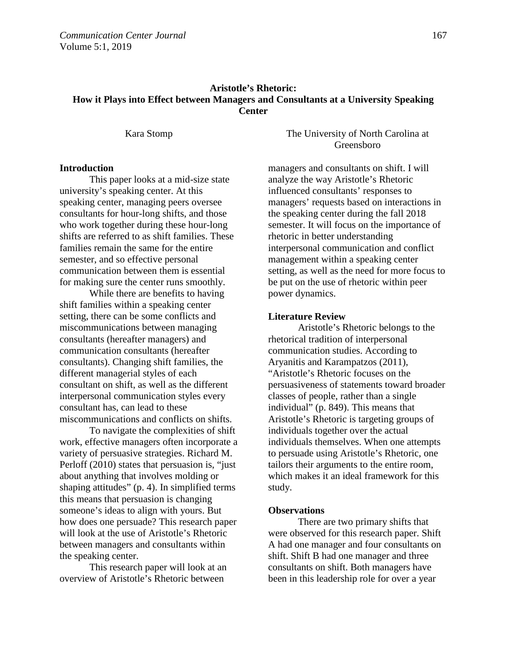# **Aristotle's Rhetoric: How it Plays into Effect between Managers and Consultants at a University Speaking Center**

Kara Stomp The University of North Carolina at Greensboro

# **Introduction**

This paper looks at a mid-size state university's speaking center. At this speaking center, managing peers oversee consultants for hour-long shifts, and those who work together during these hour-long shifts are referred to as shift families. These families remain the same for the entire semester, and so effective personal communication between them is essential for making sure the center runs smoothly.

While there are benefits to having shift families within a speaking center setting, there can be some conflicts and miscommunications between managing consultants (hereafter managers) and communication consultants (hereafter consultants). Changing shift families, the different managerial styles of each consultant on shift, as well as the different interpersonal communication styles every consultant has, can lead to these miscommunications and conflicts on shifts.

To navigate the complexities of shift work, effective managers often incorporate a variety of persuasive strategies. Richard M. Perloff (2010) states that persuasion is, "just about anything that involves molding or shaping attitudes" (p. 4). In simplified terms this means that persuasion is changing someone's ideas to align with yours. But how does one persuade? This research paper will look at the use of Aristotle's Rhetoric between managers and consultants within the speaking center.

This research paper will look at an overview of Aristotle's Rhetoric between

managers and consultants on shift. I will analyze the way Aristotle's Rhetoric influenced consultants' responses to managers' requests based on interactions in the speaking center during the fall 2018 semester. It will focus on the importance of rhetoric in better understanding interpersonal communication and conflict management within a speaking center setting, as well as the need for more focus to be put on the use of rhetoric within peer power dynamics.

#### **Literature Review**

Aristotle's Rhetoric belongs to the rhetorical tradition of interpersonal communication studies. According to Aryanitis and Karampatzos (2011), "Aristotle's Rhetoric focuses on the persuasiveness of statements toward broader classes of people, rather than a single individual" (p. 849). This means that Aristotle's Rhetoric is targeting groups of individuals together over the actual individuals themselves. When one attempts to persuade using Aristotle's Rhetoric, one tailors their arguments to the entire room, which makes it an ideal framework for this study.

#### **Observations**

There are two primary shifts that were observed for this research paper. Shift A had one manager and four consultants on shift. Shift B had one manager and three consultants on shift. Both managers have been in this leadership role for over a year